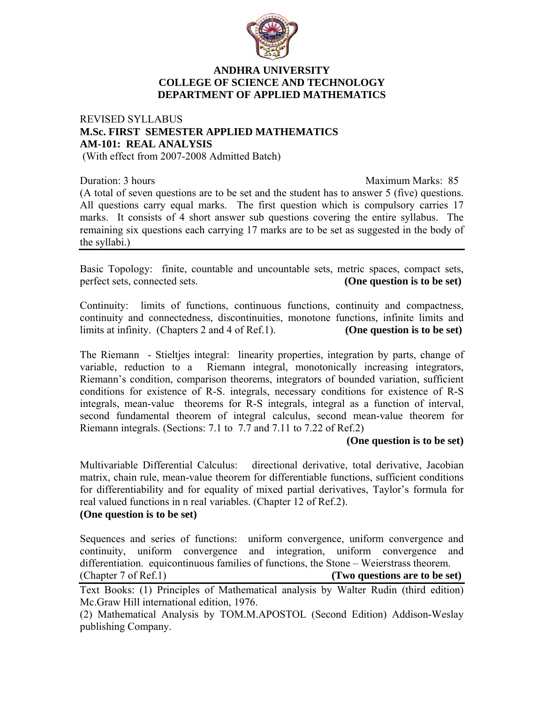

# **ANDHRA UNIVERSITY COLLEGE OF SCIENCE AND TECHNOLOGY DEPARTMENT OF APPLIED MATHEMATICS**

# REVISED SYLLABUS **M.Sc. FIRST SEMESTER APPLIED MATHEMATICS AM-101: REAL ANALYSIS**

(With effect from 2007-2008 Admitted Batch)

Duration: 3 hours Maximum Marks: 85

(A total of seven questions are to be set and the student has to answer 5 (five) questions. All questions carry equal marks. The first question which is compulsory carries 17 marks. It consists of 4 short answer sub questions covering the entire syllabus. The remaining six questions each carrying 17 marks are to be set as suggested in the body of the syllabi.)

Basic Topology: finite, countable and uncountable sets, metric spaces, compact sets, perfect sets, connected sets. **(One question is to be set)**

Continuity: limits of functions, continuous functions, continuity and compactness, continuity and connectedness, discontinuities, monotone functions, infinite limits and limits at infinity. (Chapters 2 and 4 of Ref.1). **(One question is to be set)** 

The Riemann - Stieltjes integral: linearity properties, integration by parts, change of variable, reduction to a Riemann integral, monotonically increasing integrators, Riemann's condition, comparison theorems, integrators of bounded variation, sufficient conditions for existence of R-S. integrals, necessary conditions for existence of R-S integrals, mean-value theorems for R-S integrals, integral as a function of interval, second fundamental theorem of integral calculus, second mean-value theorem for Riemann integrals. (Sections: 7.1 to 7.7 and 7.11 to 7.22 of Ref.2)

#### **(One question is to be set)**

Multivariable Differential Calculus: directional derivative, total derivative, Jacobian matrix, chain rule, mean-value theorem for differentiable functions, sufficient conditions for differentiability and for equality of mixed partial derivatives, Taylor's formula for real valued functions in n real variables. (Chapter 12 of Ref.2).

# **(One question is to be set)**

Sequences and series of functions: uniform convergence, uniform convergence and continuity, uniform convergence and integration, uniform convergence and differentiation. equicontinuous families of functions, the Stone – Weierstrass theorem.<br>(Chapter 7 of Ref.1) (Two questions are to be see (Two questions are to be set)

Text Books: (1) Principles of Mathematical analysis by Walter Rudin (third edition) Mc.Graw Hill international edition, 1976.

(2) Mathematical Analysis by TOM.M.APOSTOL (Second Edition) Addison-Weslay publishing Company.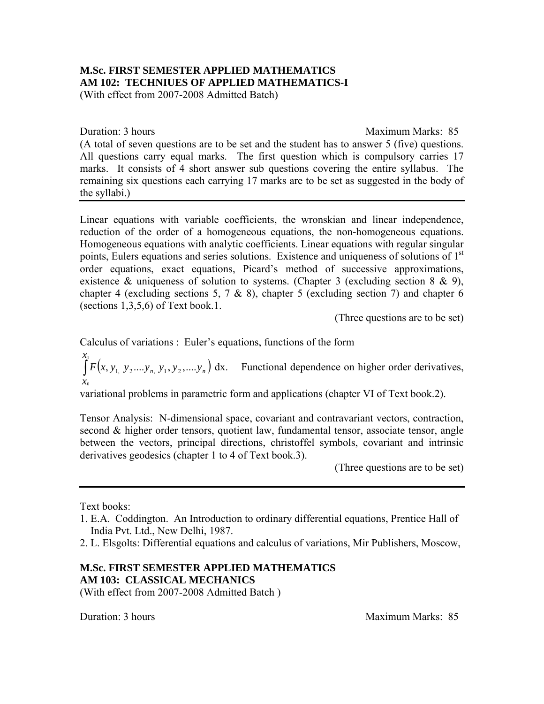# **M.Sc. FIRST SEMESTER APPLIED MATHEMATICS AM 102: TECHNIUES OF APPLIED MATHEMATICS-I**

(With effect from 2007-2008 Admitted Batch)

Duration: 3 hours Maximum Marks: 85 (A total of seven questions are to be set and the student has to answer 5 (five) questions. All questions carry equal marks. The first question which is compulsory carries 17 marks. It consists of 4 short answer sub questions covering the entire syllabus. The remaining six questions each carrying 17 marks are to be set as suggested in the body of the syllabi.)

Linear equations with variable coefficients, the wronskian and linear independence, reduction of the order of a homogeneous equations, the non-homogeneous equations. Homogeneous equations with analytic coefficients. Linear equations with regular singular points, Eulers equations and series solutions. Existence and uniqueness of solutions of 1<sup>st</sup> order equations, exact equations, Picard's method of successive approximations, existence & uniqueness of solution to systems. (Chapter 3 (excluding section  $8 \& 9$ ), chapter 4 (excluding sections 5, 7  $\&$  8), chapter 5 (excluding section 7) and chapter 6 (sections  $1,3,5,6$ ) of Text book.1.

(Three questions are to be set)

Calculus of variations : Euler's equations, functions of the form

 $\int F(x, y_1, y_2,...y_n, y_1, y_2,...y_n)$ *x x*  $F(x, y_1, y_2,..., y_n, y_1, y_2,..., y_n)$  dx. Functional dependence on higher order derivatives, 0

variational problems in parametric form and applications (chapter VI of Text book.2).

Tensor Analysis: N-dimensional space, covariant and contravariant vectors, contraction, second & higher order tensors, quotient law, fundamental tensor, associate tensor, angle between the vectors, principal directions, christoffel symbols, covariant and intrinsic derivatives geodesics (chapter 1 to 4 of Text book.3).

(Three questions are to be set)

Text books:

# **M.Sc. FIRST SEMESTER APPLIED MATHEMATICS AM 103: CLASSICAL MECHANICS**

(With effect from 2007-2008 Admitted Batch )

**Duration: 3 hours** Maximum Marks: 85

<sup>1.</sup> E.A. Coddington. An Introduction to ordinary differential equations, Prentice Hall of India Pvt. Ltd., New Delhi, 1987.

<sup>2.</sup> L. Elsgolts: Differential equations and calculus of variations, Mir Publishers, Moscow,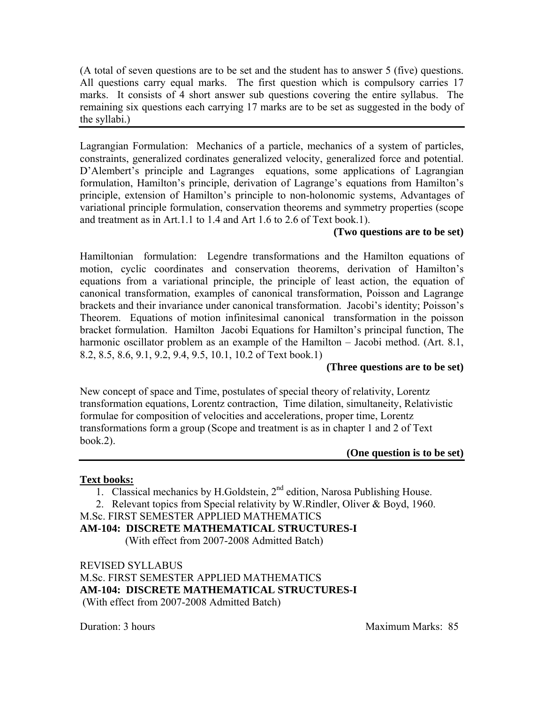(A total of seven questions are to be set and the student has to answer 5 (five) questions. All questions carry equal marks. The first question which is compulsory carries 17 marks. It consists of 4 short answer sub questions covering the entire syllabus. The remaining six questions each carrying 17 marks are to be set as suggested in the body of the syllabi.)

Lagrangian Formulation: Mechanics of a particle, mechanics of a system of particles, constraints, generalized cordinates generalized velocity, generalized force and potential. D'Alembert's principle and Lagranges equations, some applications of Lagrangian formulation, Hamilton's principle, derivation of Lagrange's equations from Hamilton's principle, extension of Hamilton's principle to non-holonomic systems, Advantages of variational principle formulation, conservation theorems and symmetry properties (scope and treatment as in Art.1.1 to 1.4 and Art 1.6 to 2.6 of Text book.1).

# **(Two questions are to be set)**

Hamiltonian formulation: Legendre transformations and the Hamilton equations of motion, cyclic coordinates and conservation theorems, derivation of Hamilton's equations from a variational principle, the principle of least action, the equation of canonical transformation, examples of canonical transformation, Poisson and Lagrange brackets and their invariance under canonical transformation. Jacobi's identity; Poisson's Theorem. Equations of motion infinitesimal canonical transformation in the poisson bracket formulation. Hamilton Jacobi Equations for Hamilton's principal function, The harmonic oscillator problem as an example of the Hamilton – Jacobi method. (Art. 8.1, 8.2, 8.5, 8.6, 9.1, 9.2, 9.4, 9.5, 10.1, 10.2 of Text book.1)

# **(Three questions are to be set)**

New concept of space and Time, postulates of special theory of relativity, Lorentz transformation equations, Lorentz contraction, Time dilation, simultaneity, Relativistic formulae for composition of velocities and accelerations, proper time, Lorentz transformations form a group (Scope and treatment is as in chapter 1 and 2 of Text book.2).

# **(One question is to be set)**

# **Text books:**

1. Classical mechanics by H.Goldstein,  $2<sup>nd</sup>$  edition, Narosa Publishing House.

2. Relevant topics from Special relativity by W.Rindler, Oliver & Boyd, 1960.

M.Sc. FIRST SEMESTER APPLIED MATHEMATICS

**AM-104: DISCRETE MATHEMATICAL STRUCTURES-I** 

(With effect from 2007-2008 Admitted Batch)

REVISED SYLLABUS M.Sc. FIRST SEMESTER APPLIED MATHEMATICS **AM-104: DISCRETE MATHEMATICAL STRUCTURES-I**  (With effect from 2007-2008 Admitted Batch)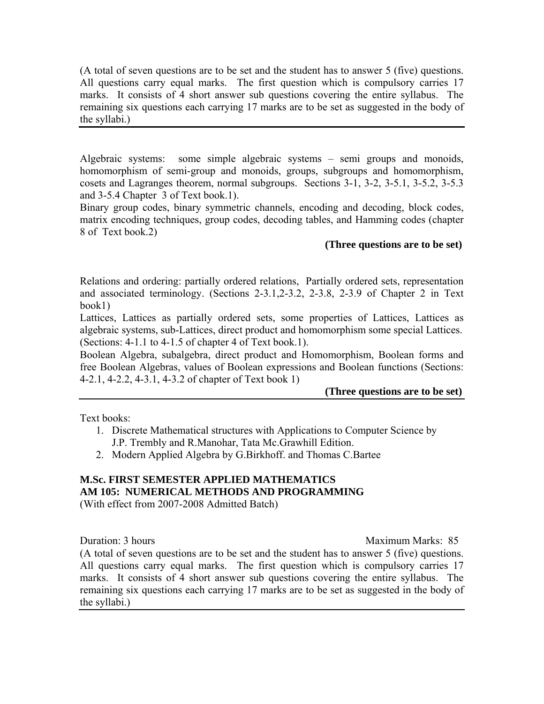(A total of seven questions are to be set and the student has to answer 5 (five) questions. All questions carry equal marks. The first question which is compulsory carries 17 marks. It consists of 4 short answer sub questions covering the entire syllabus. The remaining six questions each carrying 17 marks are to be set as suggested in the body of the syllabi.)

Algebraic systems: some simple algebraic systems – semi groups and monoids, homomorphism of semi-group and monoids, groups, subgroups and homomorphism, cosets and Lagranges theorem, normal subgroups. Sections 3-1, 3-2, 3-5.1, 3-5.2, 3-5.3 and 3-5.4 Chapter 3 of Text book.1).

Binary group codes, binary symmetric channels, encoding and decoding, block codes, matrix encoding techniques, group codes, decoding tables, and Hamming codes (chapter 8 of Text book.2)

# **(Three questions are to be set)**

Relations and ordering: partially ordered relations, Partially ordered sets, representation and associated terminology. (Sections 2-3.1,2-3.2, 2-3.8, 2-3.9 of Chapter 2 in Text book1)

Lattices, Lattices as partially ordered sets, some properties of Lattices, Lattices as algebraic systems, sub-Lattices, direct product and homomorphism some special Lattices. (Sections: 4-1.1 to 4-1.5 of chapter 4 of Text book.1).

Boolean Algebra, subalgebra, direct product and Homomorphism, Boolean forms and free Boolean Algebras, values of Boolean expressions and Boolean functions (Sections: 4-2.1, 4-2.2, 4-3.1, 4-3.2 of chapter of Text book 1)

# **(Three questions are to be set)**

Text books:

- 1. Discrete Mathematical structures with Applications to Computer Science by J.P. Trembly and R.Manohar, Tata Mc.Grawhill Edition.
- 2. Modern Applied Algebra by G.Birkhoff. and Thomas C.Bartee

#### **M.Sc. FIRST SEMESTER APPLIED MATHEMATICS AM 105: NUMERICAL METHODS AND PROGRAMMING**

(With effect from 2007-2008 Admitted Batch)

Duration: 3 hours Maximum Marks: 85

(A total of seven questions are to be set and the student has to answer 5 (five) questions. All questions carry equal marks. The first question which is compulsory carries 17 marks. It consists of 4 short answer sub questions covering the entire syllabus. The remaining six questions each carrying 17 marks are to be set as suggested in the body of the syllabi.)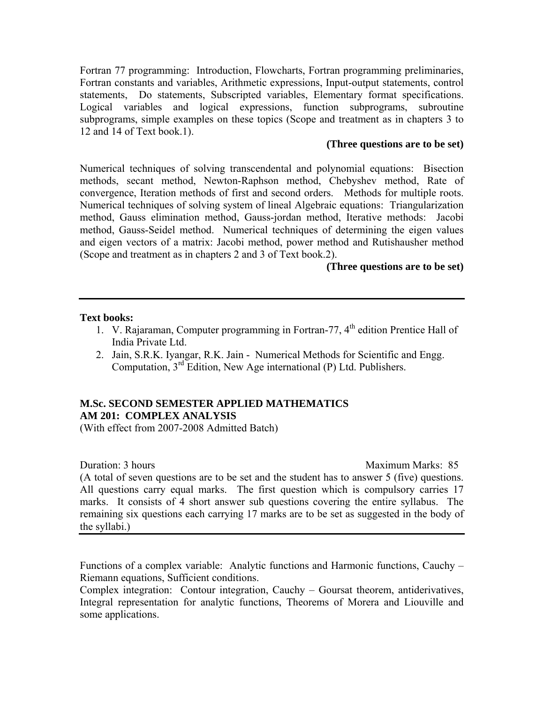Fortran 77 programming: Introduction, Flowcharts, Fortran programming preliminaries, Fortran constants and variables, Arithmetic expressions, Input-output statements, control statements, Do statements, Subscripted variables, Elementary format specifications. Logical variables and logical expressions, function subprograms, subroutine subprograms, simple examples on these topics (Scope and treatment as in chapters 3 to 12 and 14 of Text book.1).

# **(Three questions are to be set)**

Numerical techniques of solving transcendental and polynomial equations: Bisection methods, secant method, Newton-Raphson method, Chebyshev method, Rate of convergence, Iteration methods of first and second orders. Methods for multiple roots. Numerical techniques of solving system of lineal Algebraic equations: Triangularization method, Gauss elimination method, Gauss-jordan method, Iterative methods: Jacobi method, Gauss-Seidel method. Numerical techniques of determining the eigen values and eigen vectors of a matrix: Jacobi method, power method and Rutishausher method (Scope and treatment as in chapters 2 and 3 of Text book.2).

# **(Three questions are to be set)**

#### **Text books:**

- 1. V. Rajaraman, Computer programming in Fortran-77, 4<sup>th</sup> edition Prentice Hall of India Private Ltd.
- 2. Jain, S.R.K. Iyangar, R.K. Jain Numerical Methods for Scientific and Engg. Computation, 3rd Edition, New Age international (P) Ltd. Publishers.

# **M.Sc. SECOND SEMESTER APPLIED MATHEMATICS AM 201: COMPLEX ANALYSIS**

(With effect from 2007-2008 Admitted Batch)

**Duration: 3 hours Maximum Marks: 85** 

(A total of seven questions are to be set and the student has to answer 5 (five) questions. All questions carry equal marks. The first question which is compulsory carries 17 marks. It consists of 4 short answer sub questions covering the entire syllabus. The remaining six questions each carrying 17 marks are to be set as suggested in the body of the syllabi.)

Functions of a complex variable: Analytic functions and Harmonic functions, Cauchy – Riemann equations, Sufficient conditions.

Complex integration: Contour integration, Cauchy – Goursat theorem, antiderivatives, Integral representation for analytic functions, Theorems of Morera and Liouville and some applications.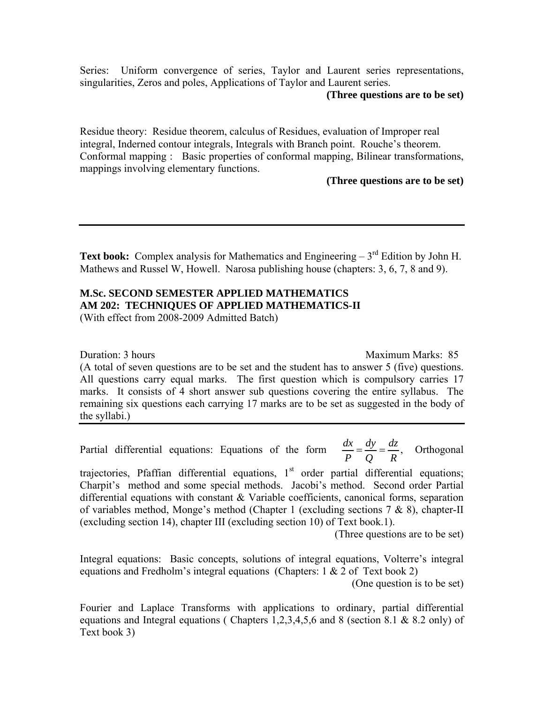Series: Uniform convergence of series, Taylor and Laurent series representations, singularities, Zeros and poles, Applications of Taylor and Laurent series.

#### **(Three questions are to be set)**

Residue theory: Residue theorem, calculus of Residues, evaluation of Improper real integral, Inderned contour integrals, Integrals with Branch point. Rouche's theorem. Conformal mapping : Basic properties of conformal mapping, Bilinear transformations, mappings involving elementary functions.

#### **(Three questions are to be set)**

**Text book:** Complex analysis for Mathematics and Engineering  $-3<sup>rd</sup>$  Edition by John H. Mathews and Russel W, Howell. Narosa publishing house (chapters: 3, 6, 7, 8 and 9).

#### **M.Sc. SECOND SEMESTER APPLIED MATHEMATICS AM 202: TECHNIQUES OF APPLIED MATHEMATICS-II**  (With effect from 2008-2009 Admitted Batch)

Duration: 3 hours Maximum Marks: 85

(A total of seven questions are to be set and the student has to answer 5 (five) questions. All questions carry equal marks. The first question which is compulsory carries 17 marks. It consists of 4 short answer sub questions covering the entire syllabus. The remaining six questions each carrying 17 marks are to be set as suggested in the body of the syllabi.)

Partial differential equations: Equations of the form  $\frac{dx}{P} = \frac{dy}{Q} = \frac{dz}{R}$ , Orthogonal

trajectories, Pfaffian differential equations,  $1<sup>st</sup>$  order partial differential equations; Charpit's method and some special methods. Jacobi's method. Second order Partial differential equations with constant & Variable coefficients, canonical forms, separation of variables method, Monge's method (Chapter 1 (excluding sections 7 & 8), chapter-II (excluding section 14), chapter III (excluding section 10) of Text book.1).

(Three questions are to be set)

Integral equations: Basic concepts, solutions of integral equations, Volterre's integral equations and Fredholm's integral equations (Chapters:  $1 \& 2$  of Text book 2)

(One question is to be set)

Fourier and Laplace Transforms with applications to ordinary, partial differential equations and Integral equations ( Chapters 1,2,3,4,5,6 and 8 (section 8.1 & 8.2 only) of Text book 3)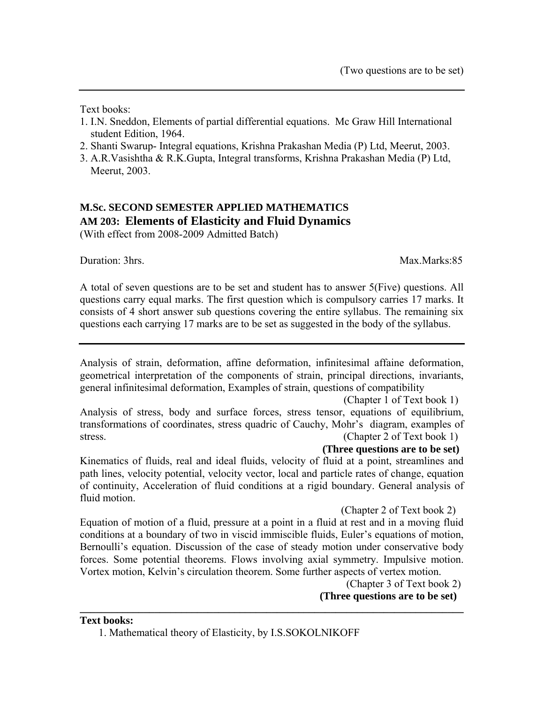Text books:

- 1. I.N. Sneddon, Elements of partial differential equations. Mc Graw Hill International student Edition, 1964.
- 2. Shanti Swarup- Integral equations, Krishna Prakashan Media (P) Ltd, Meerut, 2003.
- 3. A.R.Vasishtha & R.K.Gupta, Integral transforms, Krishna Prakashan Media (P) Ltd, Meerut, 2003.

# **M.Sc. SECOND SEMESTER APPLIED MATHEMATICS AM 203: Elements of Elasticity and Fluid Dynamics**  (With effect from 2008-2009 Admitted Batch)

Duration: 3hrs. Max.Marks:85

A total of seven questions are to be set and student has to answer 5(Five) questions. All questions carry equal marks. The first question which is compulsory carries 17 marks. It consists of 4 short answer sub questions covering the entire syllabus. The remaining six questions each carrying 17 marks are to be set as suggested in the body of the syllabus.

Analysis of strain, deformation, affine deformation, infinitesimal affaine deformation, geometrical interpretation of the components of strain, principal directions, invariants, general infinitesimal deformation, Examples of strain, questions of compatibility

 (Chapter 1 of Text book 1) Analysis of stress, body and surface forces, stress tensor, equations of equilibrium, transformations of coordinates, stress quadric of Cauchy, Mohr's diagram, examples of stress. (Chapter 2 of Text book 1)

 **(Three questions are to be set)** 

Kinematics of fluids, real and ideal fluids, velocity of fluid at a point, streamlines and path lines, velocity potential, velocity vector, local and particle rates of change, equation of continuity, Acceleration of fluid conditions at a rigid boundary. General analysis of fluid motion.

(Chapter 2 of Text book 2)

Equation of motion of a fluid, pressure at a point in a fluid at rest and in a moving fluid conditions at a boundary of two in viscid immiscible fluids, Euler's equations of motion, Bernoulli's equation. Discussion of the case of steady motion under conservative body forces. Some potential theorems. Flows involving axial symmetry. Impulsive motion. Vortex motion, Kelvin's circulation theorem. Some further aspects of vertex motion.

**\_\_\_\_\_\_\_\_\_\_\_\_\_\_\_\_\_\_\_\_\_\_\_\_\_\_\_\_\_\_\_\_\_\_\_\_\_\_\_\_\_\_\_\_\_\_\_\_\_\_\_\_\_\_\_\_\_\_\_\_\_\_\_\_\_\_\_\_\_\_\_\_** 

(Chapter 3 of Text book 2)

**(Three questions are to be set)** 

**Text books:** 

1. Mathematical theory of Elasticity, by I.S.SOKOLNIKOFF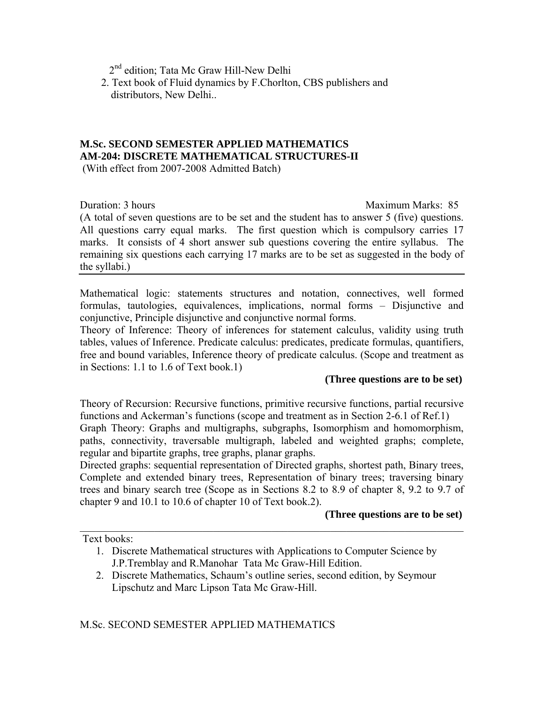2<sup>nd</sup> edition; Tata Mc Graw Hill-New Delhi

 2. Text book of Fluid dynamics by F.Chorlton, CBS publishers and distributors, New Delhi..

# **M.Sc. SECOND SEMESTER APPLIED MATHEMATICS AM-204: DISCRETE MATHEMATICAL STRUCTURES-II**

(With effect from 2007-2008 Admitted Batch)

Duration: 3 hours Maximum Marks: 85

(A total of seven questions are to be set and the student has to answer 5 (five) questions. All questions carry equal marks. The first question which is compulsory carries 17 marks. It consists of 4 short answer sub questions covering the entire syllabus. The remaining six questions each carrying 17 marks are to be set as suggested in the body of the syllabi.)

Mathematical logic: statements structures and notation, connectives, well formed formulas, tautologies, equivalences, implications, normal forms – Disjunctive and conjunctive, Principle disjunctive and conjunctive normal forms.

Theory of Inference: Theory of inferences for statement calculus, validity using truth tables, values of Inference. Predicate calculus: predicates, predicate formulas, quantifiers, free and bound variables, Inference theory of predicate calculus. (Scope and treatment as in Sections: 1.1 to 1.6 of Text book.1)

# **(Three questions are to be set)**

Theory of Recursion: Recursive functions, primitive recursive functions, partial recursive functions and Ackerman's functions (scope and treatment as in Section 2-6.1 of Ref.1) Graph Theory: Graphs and multigraphs, subgraphs, Isomorphism and homomorphism, paths, connectivity, traversable multigraph, labeled and weighted graphs; complete, regular and bipartite graphs, tree graphs, planar graphs.

Directed graphs: sequential representation of Directed graphs, shortest path, Binary trees, Complete and extended binary trees, Representation of binary trees; traversing binary trees and binary search tree (Scope as in Sections 8.2 to 8.9 of chapter 8, 9.2 to 9.7 of chapter 9 and 10.1 to 10.6 of chapter 10 of Text book.2).

 $\mathcal{L}_\text{max} = \mathcal{L}_\text{max} = \mathcal{L}_\text{max} = \mathcal{L}_\text{max} = \mathcal{L}_\text{max} = \mathcal{L}_\text{max} = \mathcal{L}_\text{max} = \mathcal{L}_\text{max} = \mathcal{L}_\text{max} = \mathcal{L}_\text{max} = \mathcal{L}_\text{max} = \mathcal{L}_\text{max} = \mathcal{L}_\text{max} = \mathcal{L}_\text{max} = \mathcal{L}_\text{max} = \mathcal{L}_\text{max} = \mathcal{L}_\text{max} = \mathcal{L}_\text{max} = \mathcal{$ 

# **(Three questions are to be set)**

Text books:

- 1. Discrete Mathematical structures with Applications to Computer Science by J.P.Tremblay and R.Manohar Tata Mc Graw-Hill Edition.
- 2. Discrete Mathematics, Schaum's outline series, second edition, by Seymour Lipschutz and Marc Lipson Tata Mc Graw-Hill.

M.Sc. SECOND SEMESTER APPLIED MATHEMATICS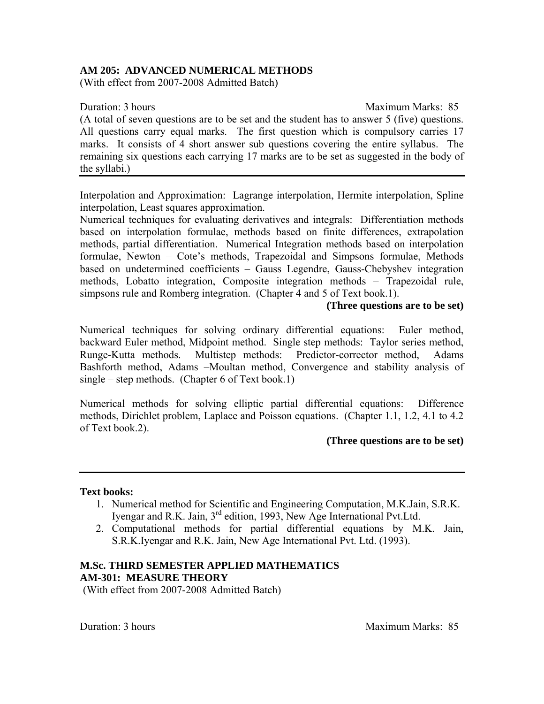# **AM 205: ADVANCED NUMERICAL METHODS**

(With effect from 2007-2008 Admitted Batch)

#### **Duration: 3 hours** Maximum Marks: 85

(A total of seven questions are to be set and the student has to answer 5 (five) questions. All questions carry equal marks. The first question which is compulsory carries 17 marks. It consists of 4 short answer sub questions covering the entire syllabus. The remaining six questions each carrying 17 marks are to be set as suggested in the body of the syllabi.)

Interpolation and Approximation: Lagrange interpolation, Hermite interpolation, Spline interpolation, Least squares approximation.

Numerical techniques for evaluating derivatives and integrals: Differentiation methods based on interpolation formulae, methods based on finite differences, extrapolation methods, partial differentiation. Numerical Integration methods based on interpolation formulae, Newton – Cote's methods, Trapezoidal and Simpsons formulae, Methods based on undetermined coefficients – Gauss Legendre, Gauss-Chebyshev integration methods, Lobatto integration, Composite integration methods – Trapezoidal rule, simpsons rule and Romberg integration. (Chapter 4 and 5 of Text book.1).

# **(Three questions are to be set)**

Numerical techniques for solving ordinary differential equations: Euler method, backward Euler method, Midpoint method. Single step methods: Taylor series method, Runge-Kutta methods. Multistep methods: Predictor-corrector method, Adams Bashforth method, Adams –Moultan method, Convergence and stability analysis of single – step methods. (Chapter 6 of Text book.1)

Numerical methods for solving elliptic partial differential equations: Difference methods, Dirichlet problem, Laplace and Poisson equations. (Chapter 1.1, 1.2, 4.1 to 4.2 of Text book.2).

# **(Three questions are to be set)**

# **Text books:**

- 1. Numerical method for Scientific and Engineering Computation, M.K.Jain, S.R.K. Iyengar and R.K. Jain, 3rd edition, 1993, New Age International Pvt.Ltd.
- 2. Computational methods for partial differential equations by M.K. Jain, S.R.K.Iyengar and R.K. Jain, New Age International Pvt. Ltd. (1993).

# **M.Sc. THIRD SEMESTER APPLIED MATHEMATICS AM-301: MEASURE THEORY**

(With effect from 2007-2008 Admitted Batch)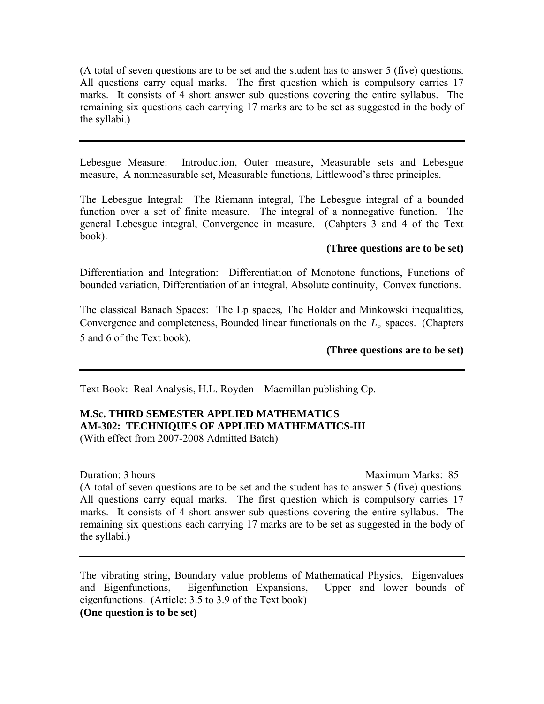(A total of seven questions are to be set and the student has to answer 5 (five) questions. All questions carry equal marks. The first question which is compulsory carries 17 marks. It consists of 4 short answer sub questions covering the entire syllabus. The remaining six questions each carrying 17 marks are to be set as suggested in the body of the syllabi.)

Lebesgue Measure: Introduction, Outer measure, Measurable sets and Lebesgue measure, A nonmeasurable set, Measurable functions, Littlewood's three principles.

The Lebesgue Integral: The Riemann integral, The Lebesgue integral of a bounded function over a set of finite measure. The integral of a nonnegative function. The general Lebesgue integral, Convergence in measure. (Cahpters 3 and 4 of the Text book).

# **(Three questions are to be set)**

Differentiation and Integration: Differentiation of Monotone functions, Functions of bounded variation, Differentiation of an integral, Absolute continuity, Convex functions.

The classical Banach Spaces: The Lp spaces, The Holder and Minkowski inequalities, Convergence and completeness, Bounded linear functionals on the  $L_p$  spaces. (Chapters 5 and 6 of the Text book).

# **(Three questions are to be set)**

Text Book: Real Analysis, H.L. Royden – Macmillan publishing Cp.

# **M.Sc. THIRD SEMESTER APPLIED MATHEMATICS AM-302: TECHNIQUES OF APPLIED MATHEMATICS-III**

(With effect from 2007-2008 Admitted Batch)

Duration: 3 hours and the matter of the matter of the Maximum Marks: 85

(A total of seven questions are to be set and the student has to answer 5 (five) questions. All questions carry equal marks. The first question which is compulsory carries 17 marks. It consists of 4 short answer sub questions covering the entire syllabus. The remaining six questions each carrying 17 marks are to be set as suggested in the body of the syllabi.)

The vibrating string, Boundary value problems of Mathematical Physics, Eigenvalues and Eigenfunctions, Eigenfunction Expansions, Upper and lower bounds of eigenfunctions. (Article: 3.5 to 3.9 of the Text book) **(One question is to be set)**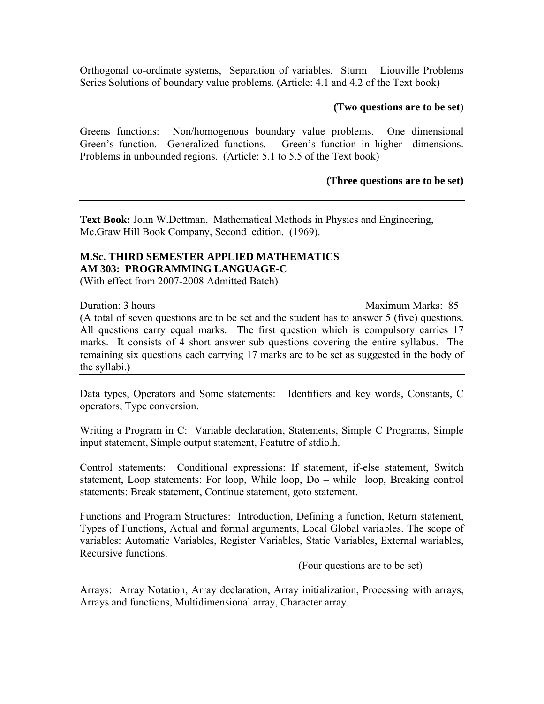Orthogonal co-ordinate systems, Separation of variables. Sturm – Liouville Problems Series Solutions of boundary value problems. (Article: 4.1 and 4.2 of the Text book)

#### **(Two questions are to be set**)

Greens functions: Non/homogenous boundary value problems. One dimensional Green's function. Generalized functions. Green's function in higher dimensions. Problems in unbounded regions. (Article: 5.1 to 5.5 of the Text book)

#### **(Three questions are to be set)**

**Text Book:** John W.Dettman, Mathematical Methods in Physics and Engineering, Mc.Graw Hill Book Company, Second edition. (1969).

# **M.Sc. THIRD SEMESTER APPLIED MATHEMATICS AM 303: PROGRAMMING LANGUAGE-C**

(With effect from 2007-2008 Admitted Batch)

Duration: 3 hours Maximum Marks: 85

(A total of seven questions are to be set and the student has to answer 5 (five) questions. All questions carry equal marks. The first question which is compulsory carries 17 marks. It consists of 4 short answer sub questions covering the entire syllabus. The remaining six questions each carrying 17 marks are to be set as suggested in the body of the syllabi.)

Data types, Operators and Some statements: Identifiers and key words, Constants, C operators, Type conversion.

Writing a Program in C: Variable declaration, Statements, Simple C Programs, Simple input statement, Simple output statement, Featutre of stdio.h.

Control statements: Conditional expressions: If statement, if-else statement, Switch statement, Loop statements: For loop, While loop, Do – while loop, Breaking control statements: Break statement, Continue statement, goto statement.

Functions and Program Structures: Introduction, Defining a function, Return statement, Types of Functions, Actual and formal arguments, Local Global variables. The scope of variables: Automatic Variables, Register Variables, Static Variables, External wariables, Recursive functions.

(Four questions are to be set)

Arrays: Array Notation, Array declaration, Array initialization, Processing with arrays, Arrays and functions, Multidimensional array, Character array.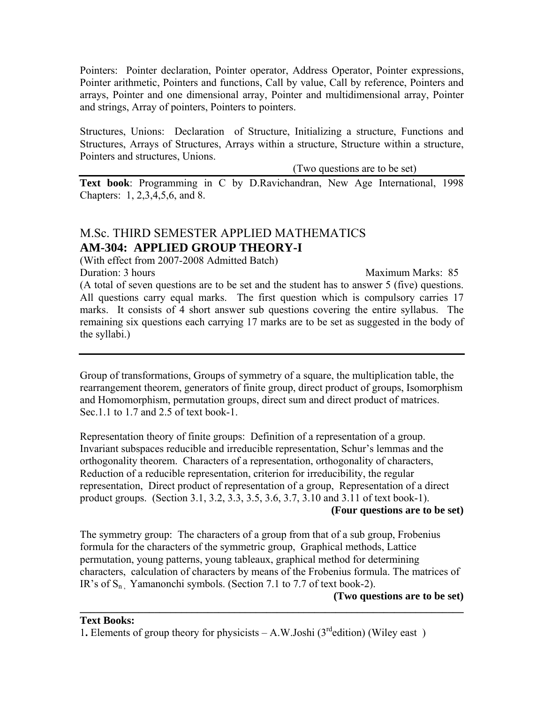Pointers: Pointer declaration, Pointer operator, Address Operator, Pointer expressions, Pointer arithmetic, Pointers and functions, Call by value, Call by reference, Pointers and arrays, Pointer and one dimensional array, Pointer and multidimensional array, Pointer and strings, Array of pointers, Pointers to pointers.

Structures, Unions: Declaration of Structure, Initializing a structure, Functions and Structures, Arrays of Structures, Arrays within a structure, Structure within a structure, Pointers and structures, Unions.

(Two questions are to be set)

**Text book**: Programming in C by D.Ravichandran, New Age International, 1998 Chapters: 1, 2,3,4,5,6, and 8.

# M.Sc. THIRD SEMESTER APPLIED MATHEMATICS **AM-304: APPLIED GROUP THEORY-I**

(With effect from 2007-2008 Admitted Batch)

Duration: 3 hours Maximum Marks: 85 (A total of seven questions are to be set and the student has to answer 5 (five) questions. All questions carry equal marks. The first question which is compulsory carries 17 marks. It consists of 4 short answer sub questions covering the entire syllabus. The remaining six questions each carrying 17 marks are to be set as suggested in the body of the syllabi.)

Group of transformations, Groups of symmetry of a square, the multiplication table, the rearrangement theorem, generators of finite group, direct product of groups, Isomorphism and Homomorphism, permutation groups, direct sum and direct product of matrices. Sec.1.1 to 1.7 and 2.5 of text book-1.

Representation theory of finite groups: Definition of a representation of a group. Invariant subspaces reducible and irreducible representation, Schur's lemmas and the orthogonality theorem. Characters of a representation, orthogonality of characters, Reduction of a reducible representation, criterion for irreducibility, the regular representation, Direct product of representation of a group, Representation of a direct product groups. (Section 3.1, 3.2, 3.3, 3.5, 3.6, 3.7, 3.10 and 3.11 of text book-1).

**(Four questions are to be set)**

The symmetry group: The characters of a group from that of a sub group, Frobenius formula for the characters of the symmetric group, Graphical methods, Lattice permutation, young patterns, young tableaux, graphical method for determining characters, calculation of characters by means of the Frobenius formula. The matrices of IR's of  $S_n$ . Yamanonchi symbols. (Section 7.1 to 7.7 of text book-2).

**\_\_\_\_\_\_\_\_\_\_\_\_\_\_\_\_\_\_\_\_\_\_\_\_\_\_\_\_\_\_\_\_\_\_\_\_\_\_\_\_\_\_\_\_\_\_\_\_\_\_\_\_\_\_\_\_\_\_\_\_\_\_\_\_\_\_\_\_\_\_\_\_**

**(Two questions are to be set)** 

1. Elements of group theory for physicists  $- A.W.Joshi (3<sup>rd</sup> edition)$  (Wiley east)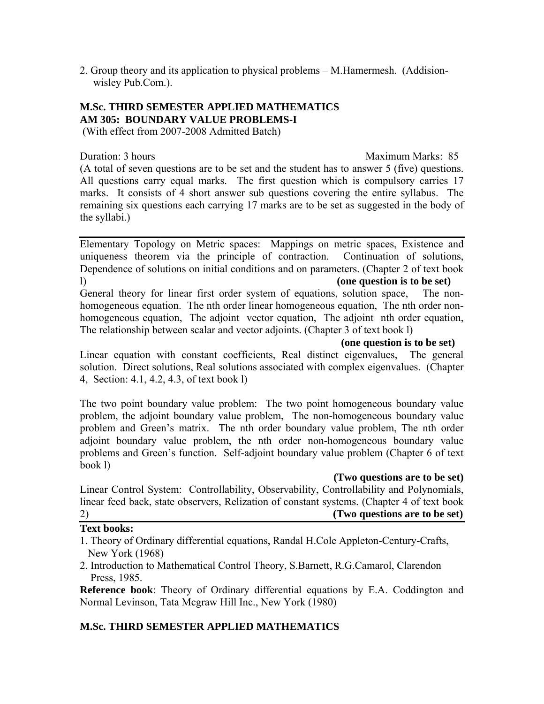2. Group theory and its application to physical problems – M.Hamermesh. (Addision wisley Pub.Com.).

# **M.Sc. THIRD SEMESTER APPLIED MATHEMATICS AM 305: BOUNDARY VALUE PROBLEMS-I**

(With effect from 2007-2008 Admitted Batch)

Duration: 3 hours Maximum Marks: 85

(A total of seven questions are to be set and the student has to answer 5 (five) questions. All questions carry equal marks. The first question which is compulsory carries 17 marks. It consists of 4 short answer sub questions covering the entire syllabus. The remaining six questions each carrying 17 marks are to be set as suggested in the body of the syllabi.)

Elementary Topology on Metric spaces: Mappings on metric spaces, Existence and uniqueness theorem via the principle of contraction. Continuation of solutions, Dependence of solutions on initial conditions and on parameters. (Chapter 2 of text book l) **(one question is to be set)** 

General theory for linear first order system of equations, solution space, The nonhomogeneous equation. The nth order linear homogeneous equation, The nth order nonhomogeneous equation, The adjoint vector equation, The adjoint nth order equation, The relationship between scalar and vector adjoints. (Chapter 3 of text book l)

**(one question is to be set)** 

Linear equation with constant coefficients, Real distinct eigenvalues, The general solution. Direct solutions, Real solutions associated with complex eigenvalues. (Chapter 4, Section: 4.1, 4.2, 4.3, of text book l)

The two point boundary value problem: The two point homogeneous boundary value problem, the adjoint boundary value problem, The non-homogeneous boundary value problem and Green's matrix. The nth order boundary value problem, The nth order adjoint boundary value problem, the nth order non-homogeneous boundary value problems and Green's function. Self-adjoint boundary value problem (Chapter 6 of text book l)

# **(Two questions are to be set)**

Linear Control System: Controllability, Observability, Controllability and Polynomials, linear feed back, state observers, Relization of constant systems. (Chapter 4 of text book 2) **(Two questions are to be set)**

# **Text books:**

- 1. Theory of Ordinary differential equations, Randal H.Cole Appleton-Century-Crafts, New York (1968)
- 2. Introduction to Mathematical Control Theory, S.Barnett, R.G.Camarol, Clarendon Press, 1985.

**Reference book**: Theory of Ordinary differential equations by E.A. Coddington and Normal Levinson, Tata Mcgraw Hill Inc., New York (1980)

# **M.Sc. THIRD SEMESTER APPLIED MATHEMATICS**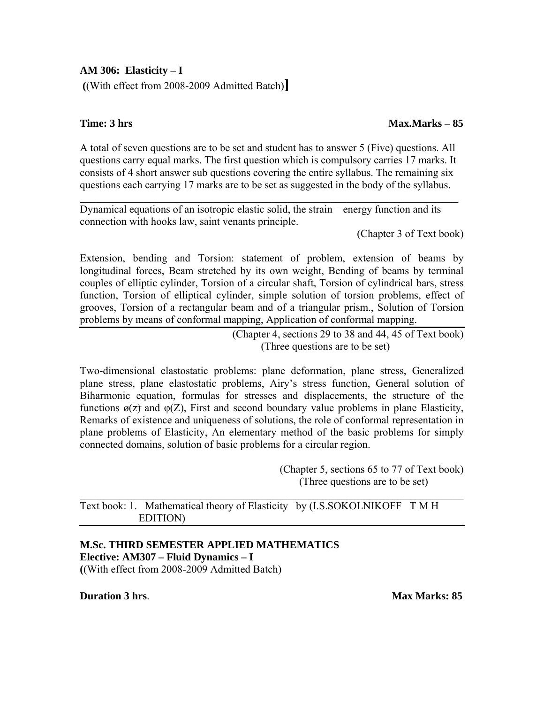# **AM 306: Elasticity – I**

 **(**(With effect from 2008-2009 Admitted Batch)**]** 

# **Time: 3 hrs** Max.Marks – 85

A total of seven questions are to be set and student has to answer 5 (Five) questions. All questions carry equal marks. The first question which is compulsory carries 17 marks. It consists of 4 short answer sub questions covering the entire syllabus. The remaining six questions each carrying 17 marks are to be set as suggested in the body of the syllabus.

 $\mathcal{L}_\text{max} = \mathcal{L}_\text{max} = \mathcal{L}_\text{max} = \mathcal{L}_\text{max} = \mathcal{L}_\text{max} = \mathcal{L}_\text{max} = \mathcal{L}_\text{max} = \mathcal{L}_\text{max} = \mathcal{L}_\text{max} = \mathcal{L}_\text{max} = \mathcal{L}_\text{max} = \mathcal{L}_\text{max} = \mathcal{L}_\text{max} = \mathcal{L}_\text{max} = \mathcal{L}_\text{max} = \mathcal{L}_\text{max} = \mathcal{L}_\text{max} = \mathcal{L}_\text{max} = \mathcal{$ 

Dynamical equations of an isotropic elastic solid, the strain – energy function and its connection with hooks law, saint venants principle.

(Chapter 3 of Text book)

Extension, bending and Torsion: statement of problem, extension of beams by longitudinal forces, Beam stretched by its own weight, Bending of beams by terminal couples of elliptic cylinder, Torsion of a circular shaft, Torsion of cylindrical bars, stress function, Torsion of elliptical cylinder, simple solution of torsion problems, effect of grooves, Torsion of a rectangular beam and of a triangular prism., Solution of Torsion problems by means of conformal mapping, Application of conformal mapping.

> (Chapter 4, sections 29 to 38 and 44, 45 of Text book) (Three questions are to be set)

Two-dimensional elastostatic problems: plane deformation, plane stress, Generalized plane stress, plane elastostatic problems, Airy's stress function, General solution of Biharmonic equation, formulas for stresses and displacements, the structure of the functions  $\varphi(z)$  and  $\varphi(z)$ , First and second boundary value problems in plane Elasticity, Remarks of existence and uniqueness of solutions, the role of conformal representation in plane problems of Elasticity, An elementary method of the basic problems for simply connected domains, solution of basic problems for a circular region.

> (Chapter 5, sections 65 to 77 of Text book) (Three questions are to be set)

# Text book: 1. Mathematical theory of Elasticity by (I.S.SOKOLNIKOFF T M H EDITION)

 $\mathcal{L}_\text{max} = \mathcal{L}_\text{max} = \mathcal{L}_\text{max} = \mathcal{L}_\text{max} = \mathcal{L}_\text{max} = \mathcal{L}_\text{max} = \mathcal{L}_\text{max} = \mathcal{L}_\text{max} = \mathcal{L}_\text{max} = \mathcal{L}_\text{max} = \mathcal{L}_\text{max} = \mathcal{L}_\text{max} = \mathcal{L}_\text{max} = \mathcal{L}_\text{max} = \mathcal{L}_\text{max} = \mathcal{L}_\text{max} = \mathcal{L}_\text{max} = \mathcal{L}_\text{max} = \mathcal{$ 

# **M.Sc. THIRD SEMESTER APPLIED MATHEMATICS Elective: AM307 – Fluid Dynamics – I (**(With effect from 2008-2009 Admitted Batch)

**Duration 3 hrs**. **Max Marks: 85**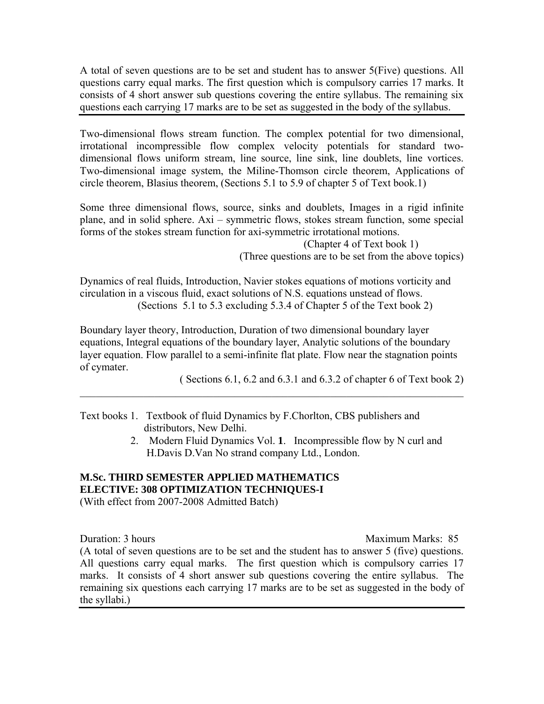A total of seven questions are to be set and student has to answer 5(Five) questions. All questions carry equal marks. The first question which is compulsory carries 17 marks. It consists of 4 short answer sub questions covering the entire syllabus. The remaining six questions each carrying 17 marks are to be set as suggested in the body of the syllabus.

Two-dimensional flows stream function. The complex potential for two dimensional, irrotational incompressible flow complex velocity potentials for standard twodimensional flows uniform stream, line source, line sink, line doublets, line vortices. Two-dimensional image system, the Miline-Thomson circle theorem, Applications of circle theorem, Blasius theorem, (Sections 5.1 to 5.9 of chapter 5 of Text book.1)

Some three dimensional flows, source, sinks and doublets, Images in a rigid infinite plane, and in solid sphere. Axi – symmetric flows, stokes stream function, some special forms of the stokes stream function for axi-symmetric irrotational motions.

 (Chapter 4 of Text book 1) (Three questions are to be set from the above topics)

Dynamics of real fluids, Introduction, Navier stokes equations of motions vorticity and circulation in a viscous fluid, exact solutions of N.S. equations unstead of flows. (Sections 5.1 to 5.3 excluding 5.3.4 of Chapter 5 of the Text book 2)

Boundary layer theory, Introduction, Duration of two dimensional boundary layer equations, Integral equations of the boundary layer, Analytic solutions of the boundary layer equation. Flow parallel to a semi-infinite flat plate. Flow near the stagnation points of cymater.

 $\_$  , and the set of the set of the set of the set of the set of the set of the set of the set of the set of the set of the set of the set of the set of the set of the set of the set of the set of the set of the set of th

( Sections 6.1, 6.2 and 6.3.1 and 6.3.2 of chapter 6 of Text book 2)

- Text books 1. Textbook of fluid Dynamics by F.Chorlton, CBS publishers and distributors, New Delhi.
	- 2. Modern Fluid Dynamics Vol. **1**. Incompressible flow by N curl and H.Davis D.Van No strand company Ltd., London.

# **M.Sc. THIRD SEMESTER APPLIED MATHEMATICS ELECTIVE: 308 OPTIMIZATION TECHNIQUES-I**

(With effect from 2007-2008 Admitted Batch)

Duration: 3 hours Maximum Marks: 85

(A total of seven questions are to be set and the student has to answer 5 (five) questions. All questions carry equal marks. The first question which is compulsory carries 17 marks. It consists of 4 short answer sub questions covering the entire syllabus. The remaining six questions each carrying 17 marks are to be set as suggested in the body of the syllabi.)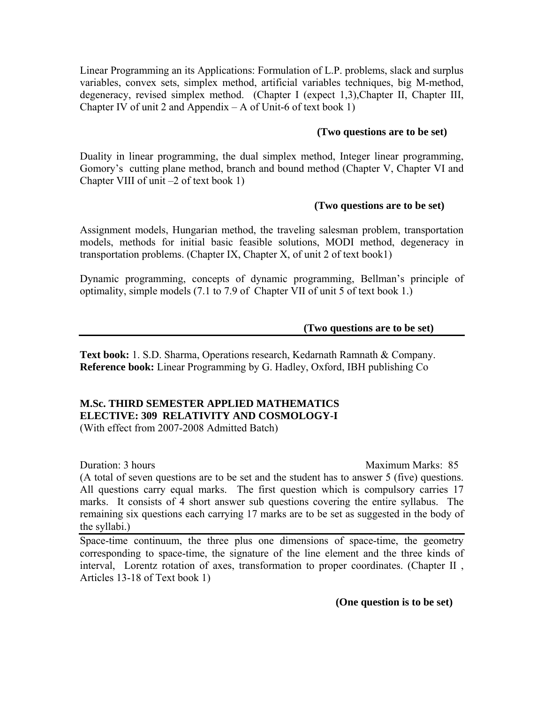Linear Programming an its Applications: Formulation of L.P. problems, slack and surplus variables, convex sets, simplex method, artificial variables techniques, big M-method, degeneracy, revised simplex method. (Chapter I (expect 1,3), Chapter II, Chapter III, Chapter IV of unit 2 and Appendix  $- A$  of Unit-6 of text book 1)

# **(Two questions are to be set)**

Duality in linear programming, the dual simplex method, Integer linear programming, Gomory's cutting plane method, branch and bound method (Chapter V, Chapter VI and Chapter VIII of unit –2 of text book 1)

# **(Two questions are to be set)**

Assignment models, Hungarian method, the traveling salesman problem, transportation models, methods for initial basic feasible solutions, MODI method, degeneracy in transportation problems. (Chapter IX, Chapter X, of unit 2 of text book1)

Dynamic programming, concepts of dynamic programming, Bellman's principle of optimality, simple models (7.1 to 7.9 of Chapter VII of unit 5 of text book 1.)

# **(Two questions are to be set)**

**Text book:** 1. S.D. Sharma, Operations research, Kedarnath Ramnath & Company. **Reference book:** Linear Programming by G. Hadley, Oxford, IBH publishing Co

# **M.Sc. THIRD SEMESTER APPLIED MATHEMATICS ELECTIVE: 309 RELATIVITY AND COSMOLOGY-I**

(With effect from 2007-2008 Admitted Batch)

Duration: 3 hours Maximum Marks: 85

(A total of seven questions are to be set and the student has to answer 5 (five) questions. All questions carry equal marks. The first question which is compulsory carries 17 marks. It consists of 4 short answer sub questions covering the entire syllabus. The remaining six questions each carrying 17 marks are to be set as suggested in the body of the syllabi.)

Space-time continuum, the three plus one dimensions of space-time, the geometry corresponding to space-time, the signature of the line element and the three kinds of interval, Lorentz rotation of axes, transformation to proper coordinates. (Chapter II , Articles 13-18 of Text book 1)

**(One question is to be set)**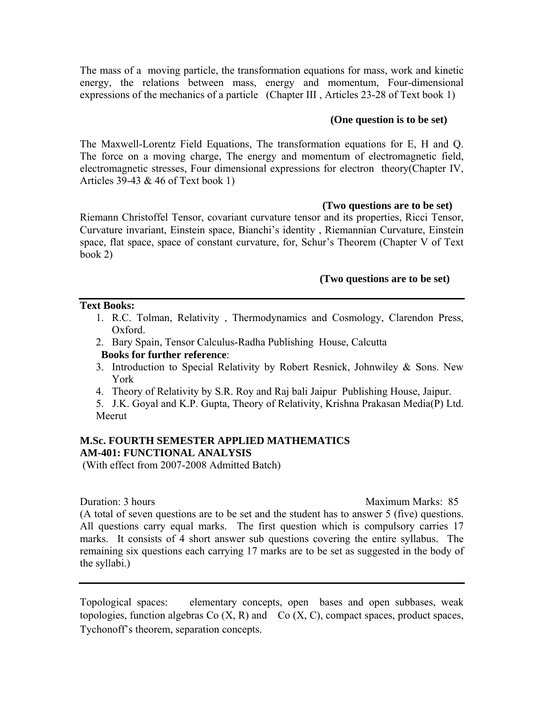The mass of a moving particle, the transformation equations for mass, work and kinetic energy, the relations between mass, energy and momentum, Four-dimensional expressions of the mechanics of a particle (Chapter III , Articles 23-28 of Text book 1)

# **(One question is to be set)**

The Maxwell-Lorentz Field Equations, The transformation equations for E, H and Q. The force on a moving charge, The energy and momentum of electromagnetic field, electromagnetic stresses, Four dimensional expressions for electron theory(Chapter IV, Articles 39-43 & 46 of Text book 1)

# **(Two questions are to be set)**

Riemann Christoffel Tensor, covariant curvature tensor and its properties, Ricci Tensor, Curvature invariant, Einstein space, Bianchi's identity , Riemannian Curvature, Einstein space, flat space, space of constant curvature, for, Schur's Theorem (Chapter V of Text book 2)

# **(Two questions are to be set)**

# **Text Books:**

- 1. R.C. Tolman, Relativity , Thermodynamics and Cosmology, Clarendon Press, Oxford.
- 2. Bary Spain, Tensor Calculus-Radha Publishing House, Calcutta **Books for further reference**:
- 3. Introduction to Special Relativity by Robert Resnick, Johnwiley & Sons. New York
- 4. Theory of Relativity by S.R. Roy and Raj bali Jaipur Publishing House, Jaipur.
- 5. J.K. Goyal and K.P. Gupta, Theory of Relativity, Krishna Prakasan Media(P) Ltd. Meerut

# **M.Sc. FOURTH SEMESTER APPLIED MATHEMATICS AM-401: FUNCTIONAL ANALYSIS**

(With effect from 2007-2008 Admitted Batch)

Duration: 3 hours Maximum Marks: 85

(A total of seven questions are to be set and the student has to answer 5 (five) questions. All questions carry equal marks. The first question which is compulsory carries 17 marks. It consists of 4 short answer sub questions covering the entire syllabus. The remaining six questions each carrying 17 marks are to be set as suggested in the body of the syllabi.)

Topological spaces: elementary concepts, open bases and open subbases, weak topologies, function algebras  $Co(X, R)$  and  $Co(X, C)$ , compact spaces, product spaces, Tychonoff's theorem, separation concepts.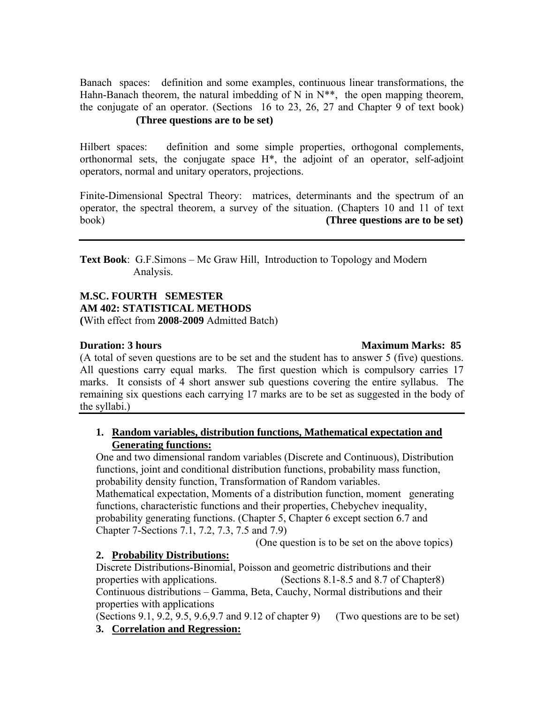Banach spaces: definition and some examples, continuous linear transformations, the Hahn-Banach theorem, the natural imbedding of N in  $N^{**}$ , the open mapping theorem, the conjugate of an operator. (Sections 16 to 23, 26, 27 and Chapter 9 of text book) **(Three questions are to be set)** 

Hilbert spaces: definition and some simple properties, orthogonal complements, orthonormal sets, the conjugate space H\*, the adjoint of an operator, self-adjoint operators, normal and unitary operators, projections.

Finite-Dimensional Spectral Theory: matrices, determinants and the spectrum of an operator, the spectral theorem, a survey of the situation. (Chapters 10 and 11 of text book) **(Three questions are to be set)**

**Text Book**: G.F.Simons – Mc Graw Hill, Introduction to Topology and Modern Analysis.

# **M.SC. FOURTH SEMESTER AM 402: STATISTICAL METHODS (**With effect from **2008-2009** Admitted Batch)

# **Duration: 3 hours** Maximum Marks: 85

(A total of seven questions are to be set and the student has to answer 5 (five) questions. All questions carry equal marks. The first question which is compulsory carries 17 marks. It consists of 4 short answer sub questions covering the entire syllabus. The remaining six questions each carrying 17 marks are to be set as suggested in the body of the syllabi.)

# **1. Random variables, distribution functions, Mathematical expectation and Generating functions:**

One and two dimensional random variables (Discrete and Continuous), Distribution functions, joint and conditional distribution functions, probability mass function, probability density function, Transformation of Random variables. Mathematical expectation, Moments of a distribution function, moment generating functions, characteristic functions and their properties, Chebychev inequality, probability generating functions. (Chapter 5, Chapter 6 except section 6.7 and Chapter 7-Sections 7.1, 7.2, 7.3, 7.5 and 7.9)

(One question is to be set on the above topics)

# **2. Probability Distributions:**

Discrete Distributions-Binomial, Poisson and geometric distributions and their properties with applications. (Sections 8.1-8.5 and 8.7 of Chapter8) Continuous distributions – Gamma, Beta, Cauchy, Normal distributions and their properties with applications

(Sections 9.1, 9.2, 9.5, 9.6, 9.7 and 9.12 of chapter 9) (Two questions are to be set) **3. Correlation and Regression:**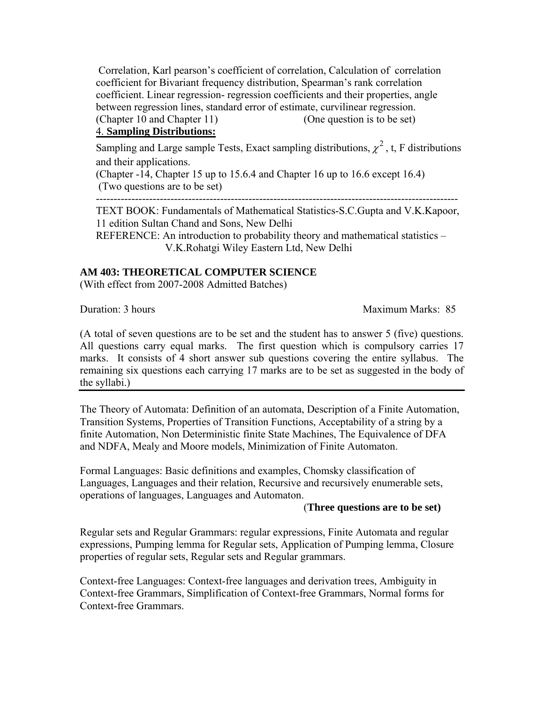Correlation, Karl pearson's coefficient of correlation, Calculation of correlation coefficient for Bivariant frequency distribution, Spearman's rank correlation coefficient. Linear regression- regression coefficients and their properties, angle between regression lines, standard error of estimate, curvilinear regression. (Chapter 10 and Chapter 11) (One question is to be set)

# 4. **Sampling Distributions:**

Sampling and Large sample Tests, Exact sampling distributions,  $\chi^2$ , t, F distributions and their applications.

(Chapter -14, Chapter 15 up to 15.6.4 and Chapter 16 up to 16.6 except 16.4) (Two questions are to be set)

------------------------------------------------------------------------------------------------------

TEXT BOOK: Fundamentals of Mathematical Statistics-S.C.Gupta and V.K.Kapoor, 11 edition Sultan Chand and Sons, New Delhi

REFERENCE: An introduction to probability theory and mathematical statistics – V.K.Rohatgi Wiley Eastern Ltd, New Delhi

# **AM 403: THEORETICAL COMPUTER SCIENCE**

(With effect from 2007-2008 Admitted Batches)

**Duration: 3 hours** Maximum Marks: 85

(A total of seven questions are to be set and the student has to answer 5 (five) questions. All questions carry equal marks. The first question which is compulsory carries 17 marks. It consists of 4 short answer sub questions covering the entire syllabus. The remaining six questions each carrying 17 marks are to be set as suggested in the body of the syllabi.)

The Theory of Automata: Definition of an automata, Description of a Finite Automation, Transition Systems, Properties of Transition Functions, Acceptability of a string by a finite Automation, Non Deterministic finite State Machines, The Equivalence of DFA and NDFA, Mealy and Moore models, Minimization of Finite Automaton.

Formal Languages: Basic definitions and examples, Chomsky classification of Languages, Languages and their relation, Recursive and recursively enumerable sets, operations of languages, Languages and Automaton.

# (**Three questions are to be set)**

Regular sets and Regular Grammars: regular expressions, Finite Automata and regular expressions, Pumping lemma for Regular sets, Application of Pumping lemma, Closure properties of regular sets, Regular sets and Regular grammars.

Context-free Languages: Context-free languages and derivation trees, Ambiguity in Context-free Grammars, Simplification of Context-free Grammars, Normal forms for Context-free Grammars.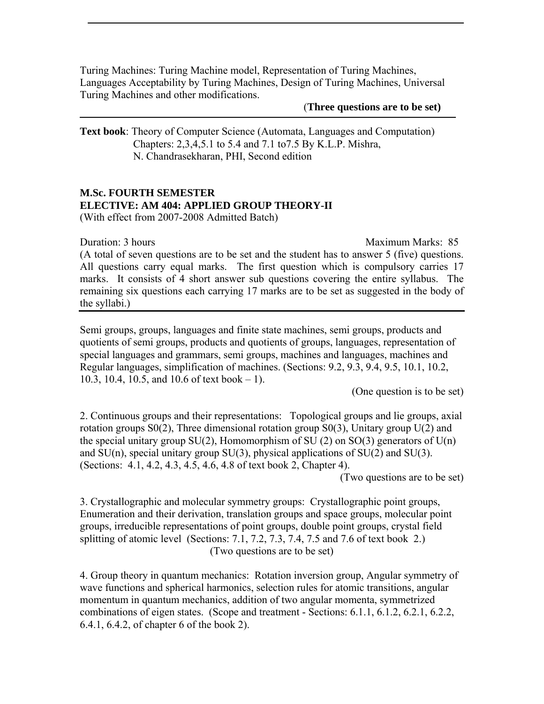Turing Machines: Turing Machine model, Representation of Turing Machines, Languages Acceptability by Turing Machines, Design of Turing Machines, Universal Turing Machines and other modifications.

#### (**Three questions are to be set)**

**Text book**: Theory of Computer Science (Automata, Languages and Computation) Chapters: 2,3,4,5.1 to 5.4 and 7.1 to7.5 By K.L.P. Mishra, N. Chandrasekharan, PHI, Second edition

#### **M.Sc. FOURTH SEMESTER ELECTIVE: AM 404: APPLIED GROUP THEORY-II** (With effect from 2007-2008 Admitted Batch)

Duration: 3 hours Maximum Marks: 85

(A total of seven questions are to be set and the student has to answer 5 (five) questions. All questions carry equal marks. The first question which is compulsory carries 17 marks. It consists of 4 short answer sub questions covering the entire syllabus. The remaining six questions each carrying 17 marks are to be set as suggested in the body of the syllabi.)

Semi groups, groups, languages and finite state machines, semi groups, products and quotients of semi groups, products and quotients of groups, languages, representation of special languages and grammars, semi groups, machines and languages, machines and Regular languages, simplification of machines. (Sections: 9.2, 9.3, 9.4, 9.5, 10.1, 10.2, 10.3, 10.4, 10.5, and 10.6 of text book – 1).

(One question is to be set)

2. Continuous groups and their representations: Topological groups and lie groups, axial rotation groups S0(2), Three dimensional rotation group S0(3), Unitary group U(2) and the special unitary group  $SU(2)$ , Homomorphism of  $SU(2)$  on  $SO(3)$  generators of  $U(n)$ and  $SU(n)$ , special unitary group  $SU(3)$ , physical applications of  $SU(2)$  and  $SU(3)$ . (Sections: 4.1, 4.2, 4.3, 4.5, 4.6, 4.8 of text book 2, Chapter 4).

(Two questions are to be set)

3. Crystallographic and molecular symmetry groups: Crystallographic point groups, Enumeration and their derivation, translation groups and space groups, molecular point groups, irreducible representations of point groups, double point groups, crystal field splitting of atomic level (Sections:  $7.1, 7.2, 7.3, 7.4, 7.5$  and  $7.6$  of text book 2.) (Two questions are to be set)

4. Group theory in quantum mechanics: Rotation inversion group, Angular symmetry of wave functions and spherical harmonics, selection rules for atomic transitions, angular momentum in quantum mechanics, addition of two angular momenta, symmetrized combinations of eigen states. (Scope and treatment - Sections: 6.1.1, 6.1.2, 6.2.1, 6.2.2, 6.4.1, 6.4.2, of chapter 6 of the book 2).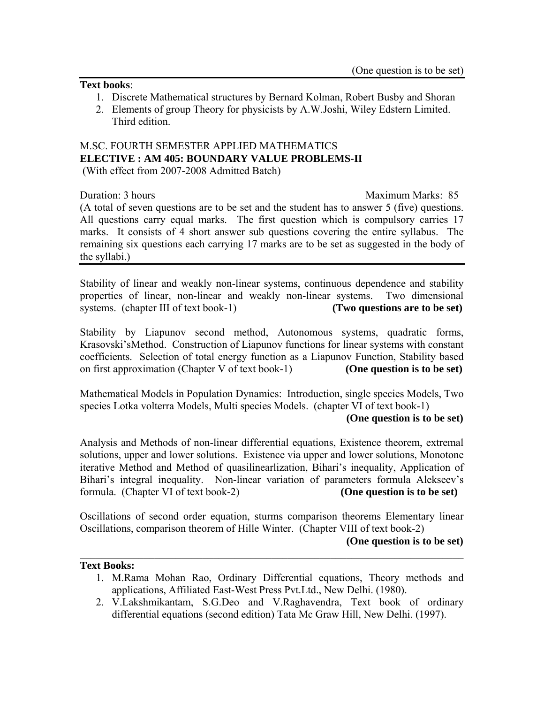# **Text books**:

- 1. Discrete Mathematical structures by Bernard Kolman, Robert Busby and Shoran
- 2. Elements of group Theory for physicists by A.W.Joshi, Wiley Edstern Limited. Third edition.

# M.SC. FOURTH SEMESTER APPLIED MATHEMATICS **ELECTIVE : AM 405: BOUNDARY VALUE PROBLEMS-II** (With effect from 2007-2008 Admitted Batch)

Duration: 3 hours and the matter of the matter of the Maximum Marks: 85

(A total of seven questions are to be set and the student has to answer 5 (five) questions. All questions carry equal marks. The first question which is compulsory carries 17 marks. It consists of 4 short answer sub questions covering the entire syllabus. The remaining six questions each carrying 17 marks are to be set as suggested in the body of the syllabi.)

Stability of linear and weakly non-linear systems, continuous dependence and stability properties of linear, non-linear and weakly non-linear systems. Two dimensional systems. (chapter III of text book-1) **(Two questions are to be set)** 

Stability by Liapunov second method, Autonomous systems, quadratic forms, Krasovski'sMethod. Construction of Liapunov functions for linear systems with constant coefficients. Selection of total energy function as a Liapunov Function, Stability based on first approximation (Chapter V of text book-1) **(One question is to be set)**

Mathematical Models in Population Dynamics: Introduction, single species Models, Two species Lotka volterra Models, Multi species Models. (chapter VI of text book-1)

# **(One question is to be set)**

Analysis and Methods of non-linear differential equations, Existence theorem, extremal solutions, upper and lower solutions. Existence via upper and lower solutions, Monotone iterative Method and Method of quasilinearlization, Bihari's inequality, Application of Bihari's integral inequality. Non-linear variation of parameters formula Alekseev's formula. (Chapter VI of text book-2) **(One question is to be set)**

Oscillations of second order equation, sturms comparison theorems Elementary linear Oscillations, comparison theorem of Hille Winter. (Chapter VIII of text book-2)

 $\mathcal{L}_\mathcal{L} = \mathcal{L}_\mathcal{L} = \mathcal{L}_\mathcal{L} = \mathcal{L}_\mathcal{L} = \mathcal{L}_\mathcal{L} = \mathcal{L}_\mathcal{L} = \mathcal{L}_\mathcal{L} = \mathcal{L}_\mathcal{L} = \mathcal{L}_\mathcal{L} = \mathcal{L}_\mathcal{L} = \mathcal{L}_\mathcal{L} = \mathcal{L}_\mathcal{L} = \mathcal{L}_\mathcal{L} = \mathcal{L}_\mathcal{L} = \mathcal{L}_\mathcal{L} = \mathcal{L}_\mathcal{L} = \mathcal{L}_\mathcal{L}$ 

# **(One question is to be set)**

# **Text Books:**

- 1. M.Rama Mohan Rao, Ordinary Differential equations, Theory methods and applications, Affiliated East-West Press Pvt.Ltd., New Delhi. (1980).
- 2. V.Lakshmikantam, S.G.Deo and V.Raghavendra, Text book of ordinary differential equations (second edition) Tata Mc Graw Hill, New Delhi. (1997).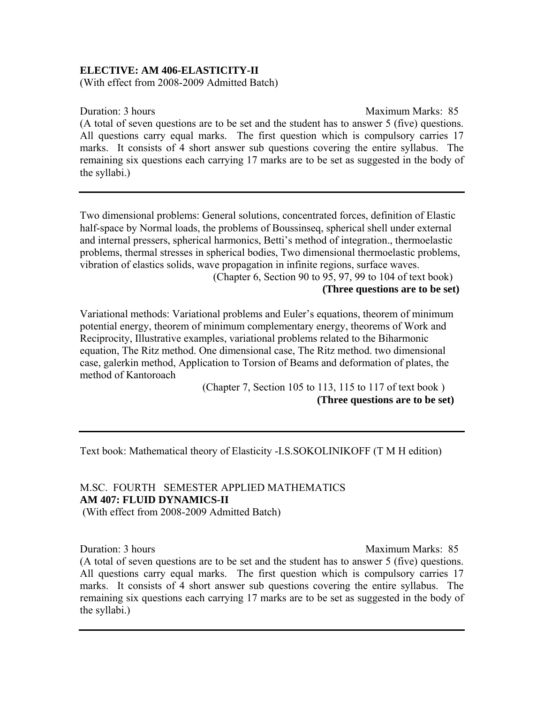# **ELECTIVE: AM 406-ELASTICITY-II**

(With effect from 2008-2009 Admitted Batch)

Duration: 3 hours Maximum Marks: 85

(A total of seven questions are to be set and the student has to answer 5 (five) questions. All questions carry equal marks. The first question which is compulsory carries 17 marks. It consists of 4 short answer sub questions covering the entire syllabus. The remaining six questions each carrying 17 marks are to be set as suggested in the body of the syllabi.)

Two dimensional problems: General solutions, concentrated forces, definition of Elastic half-space by Normal loads, the problems of Boussinseq, spherical shell under external and internal pressers, spherical harmonics, Betti's method of integration., thermoelastic problems, thermal stresses in spherical bodies, Two dimensional thermoelastic problems, vibration of elastics solids, wave propagation in infinite regions, surface waves.

 (Chapter 6, Section 90 to 95, 97, 99 to 104 of text book)  **(Three questions are to be set)** 

Variational methods: Variational problems and Euler's equations, theorem of minimum potential energy, theorem of minimum complementary energy, theorems of Work and Reciprocity, Illustrative examples, variational problems related to the Biharmonic equation, The Ritz method. One dimensional case, The Ritz method. two dimensional case, galerkin method, Application to Torsion of Beams and deformation of plates, the method of Kantoroach

> (Chapter 7, Section 105 to 113, 115 to 117 of text book )  **(Three questions are to be set)**

Text book: Mathematical theory of Elasticity -I.S.SOKOLINIKOFF (T M H edition)

# M.SC. FOURTH SEMESTER APPLIED MATHEMATICS **AM 407: FLUID DYNAMICS-II**

(With effect from 2008-2009 Admitted Batch)

Duration: 3 hours and the contract of the Maximum Marks: 85

(A total of seven questions are to be set and the student has to answer 5 (five) questions. All questions carry equal marks. The first question which is compulsory carries 17 marks. It consists of 4 short answer sub questions covering the entire syllabus. The remaining six questions each carrying 17 marks are to be set as suggested in the body of the syllabi.)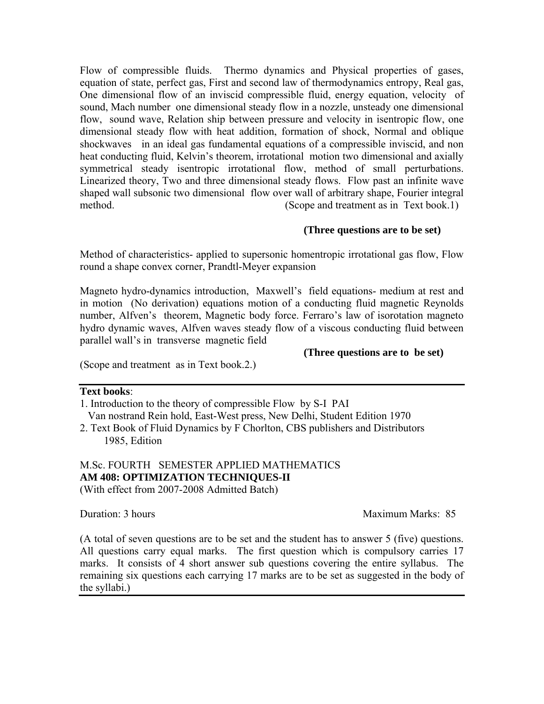Flow of compressible fluids. Thermo dynamics and Physical properties of gases, equation of state, perfect gas, First and second law of thermodynamics entropy, Real gas, One dimensional flow of an inviscid compressible fluid, energy equation, velocity of sound, Mach number one dimensional steady flow in a nozzle, unsteady one dimensional flow, sound wave, Relation ship between pressure and velocity in isentropic flow, one dimensional steady flow with heat addition, formation of shock, Normal and oblique shockwaves in an ideal gas fundamental equations of a compressible inviscid, and non heat conducting fluid, Kelvin's theorem, irrotational motion two dimensional and axially symmetrical steady isentropic irrotational flow, method of small perturbations. Linearized theory, Two and three dimensional steady flows. Flow past an infinite wave shaped wall subsonic two dimensional flow over wall of arbitrary shape, Fourier integral method. (Scope and treatment as in Text book.1)

# **(Three questions are to be set)**

Method of characteristics- applied to supersonic homentropic irrotational gas flow, Flow round a shape convex corner, Prandtl-Meyer expansion

Magneto hydro-dynamics introduction, Maxwell's field equations- medium at rest and in motion (No derivation) equations motion of a conducting fluid magnetic Reynolds number, Alfven's theorem, Magnetic body force. Ferraro's law of isorotation magneto hydro dynamic waves, Alfven waves steady flow of a viscous conducting fluid between parallel wall's in transverse magnetic field

# **(Three questions are to be set)**

(Scope and treatment as in Text book.2.)

# **Text books**:

1. Introduction to the theory of compressible Flow by S-I PAI Van nostrand Rein hold, East-West press, New Delhi, Student Edition 1970

2. Text Book of Fluid Dynamics by F Chorlton, CBS publishers and Distributors 1985, Edition

# M.Sc. FOURTH SEMESTER APPLIED MATHEMATICS **AM 408: OPTIMIZATION TECHNIQUES-II**  (With effect from 2007-2008 Admitted Batch)

Duration: 3 hours and the Maximum Marks: 85

(A total of seven questions are to be set and the student has to answer 5 (five) questions. All questions carry equal marks. The first question which is compulsory carries 17 marks. It consists of 4 short answer sub questions covering the entire syllabus. The remaining six questions each carrying 17 marks are to be set as suggested in the body of the syllabi.)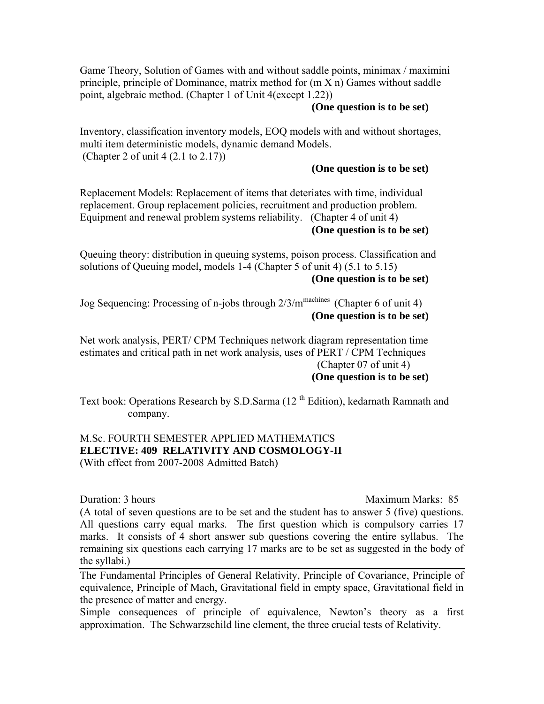Game Theory, Solution of Games with and without saddle points, minimax / maximini principle, principle of Dominance, matrix method for (m X n) Games without saddle point, algebraic method. (Chapter 1 of Unit 4(except 1.22))

#### **(One question is to be set)**

Inventory, classification inventory models, EOQ models with and without shortages, multi item deterministic models, dynamic demand Models. (Chapter 2 of unit 4 (2.1 to 2.17))

#### **(One question is to be set)**

Replacement Models: Replacement of items that deteriates with time, individual replacement. Group replacement policies, recruitment and production problem. Equipment and renewal problem systems reliability. (Chapter 4 of unit 4) **(One question is to be set)** 

Queuing theory: distribution in queuing systems, poison process. Classification and solutions of Queuing model, models 1-4 (Chapter 5 of unit 4) (5.1 to 5.15) **(One question is to be set)** 

Jog Sequencing: Processing of n-jobs through  $2/3/m^{\text{machines}}$  (Chapter 6 of unit 4) **(One question is to be set)** 

Net work analysis, PERT/ CPM Techniques network diagram representation time estimates and critical path in net work analysis, uses of PERT / CPM Techniques (Chapter 07 of unit 4) **(One question is to be set)** 

Text book: Operations Research by S.D.Sarma (12<sup>th</sup> Edition), kedarnath Ramnath and company.

# M.Sc. FOURTH SEMESTER APPLIED MATHEMATICS **ELECTIVE: 409 RELATIVITY AND COSMOLOGY-II**  (With effect from 2007-2008 Admitted Batch)

Duration: 3 hours Maximum Marks: 85 (A total of seven questions are to be set and the student has to answer 5 (five) questions. All questions carry equal marks. The first question which is compulsory carries 17 marks. It consists of 4 short answer sub questions covering the entire syllabus. The remaining six questions each carrying 17 marks are to be set as suggested in the body of the syllabi.)

The Fundamental Principles of General Relativity, Principle of Covariance, Principle of equivalence, Principle of Mach, Gravitational field in empty space, Gravitational field in the presence of matter and energy.

Simple consequences of principle of equivalence, Newton's theory as a first approximation. The Schwarzschild line element, the three crucial tests of Relativity.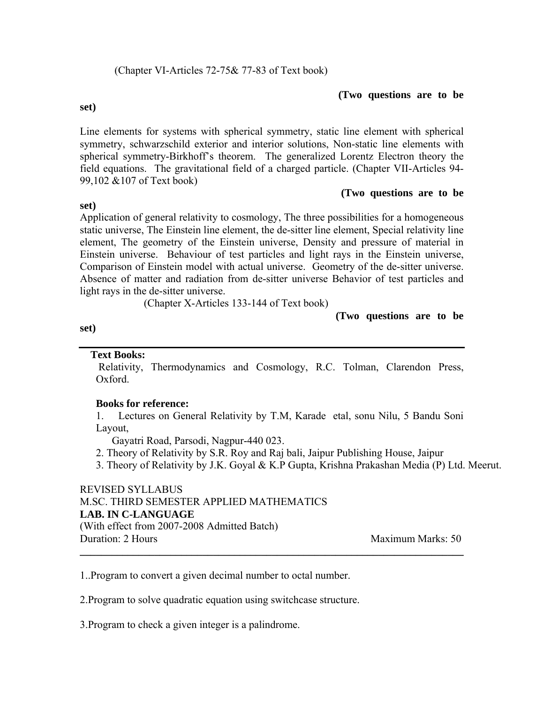#### **(Two questions are to be**

**set)** 

**set)** 

Line elements for systems with spherical symmetry, static line element with spherical symmetry, schwarzschild exterior and interior solutions, Non-static line elements with spherical symmetry-Birkhoff's theorem. The generalized Lorentz Electron theory the field equations. The gravitational field of a charged particle. (Chapter VII-Articles 94- 99,102 &107 of Text book)

# **(Two questions are to be**

Application of general relativity to cosmology, The three possibilities for a homogeneous static universe, The Einstein line element, the de-sitter line element, Special relativity line element, The geometry of the Einstein universe, Density and pressure of material in Einstein universe. Behaviour of test particles and light rays in the Einstein universe, Comparison of Einstein model with actual universe. Geometry of the de-sitter universe. Absence of matter and radiation from de-sitter universe Behavior of test particles and light rays in the de-sitter universe.

(Chapter X-Articles 133-144 of Text book)

# **(Two questions are to be**

#### **set)**

# **Text Books:**

 Relativity, Thermodynamics and Cosmology, R.C. Tolman, Clarendon Press, Oxford.

# **Books for reference:**

1. Lectures on General Relativity by T.M, Karade etal, sonu Nilu, 5 Bandu Soni Layout,

Gayatri Road, Parsodi, Nagpur-440 023.

2. Theory of Relativity by S.R. Roy and Raj bali, Jaipur Publishing House, Jaipur

**\_\_\_\_\_\_\_\_\_\_\_\_\_\_\_\_\_\_\_\_\_\_\_\_\_\_\_\_\_\_\_\_\_\_\_\_\_\_\_\_\_\_\_\_\_\_\_\_\_\_\_\_\_\_\_\_\_\_\_\_\_\_\_\_\_\_\_\_\_\_\_\_** 

3. Theory of Relativity by J.K. Goyal & K.P Gupta, Krishna Prakashan Media (P) Ltd. Meerut.

#### REVISED SYLLABUS M.SC. THIRD SEMESTER APPLIED MATHEMATICS **LAB. IN C-LANGUAGE**

(With effect from 2007-2008 Admitted Batch) **Duration: 2 Hours Maximum Marks: 50** 

1..Program to convert a given decimal number to octal number.

2.Program to solve quadratic equation using switchcase structure.

3.Program to check a given integer is a palindrome.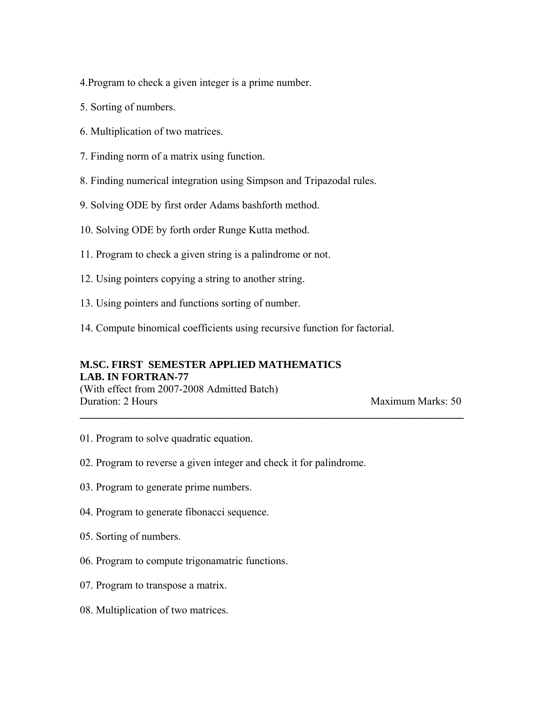4.Program to check a given integer is a prime number.

- 5. Sorting of numbers.
- 6. Multiplication of two matrices.
- 7. Finding norm of a matrix using function.
- 8. Finding numerical integration using Simpson and Tripazodal rules.
- 9. Solving ODE by first order Adams bashforth method.
- 10. Solving ODE by forth order Runge Kutta method.
- 11. Program to check a given string is a palindrome or not.
- 12. Using pointers copying a string to another string.
- 13. Using pointers and functions sorting of number.
- 14. Compute binomical coefficients using recursive function for factorial.

**\_\_\_\_\_\_\_\_\_\_\_\_\_\_\_\_\_\_\_\_\_\_\_\_\_\_\_\_\_\_\_\_\_\_\_\_\_\_\_\_\_\_\_\_\_\_\_\_\_\_\_\_\_\_\_\_\_\_\_\_\_\_\_\_\_\_\_\_\_\_\_\_**

# **M.SC. FIRST SEMESTER APPLIED MATHEMATICS LAB. IN FORTRAN-77**  (With effect from 2007-2008 Admitted Batch) **Duration: 2 Hours Maximum Marks: 50**

- 01. Program to solve quadratic equation.
- 02. Program to reverse a given integer and check it for palindrome.
- 03. Program to generate prime numbers.
- 04. Program to generate fibonacci sequence.
- 05. Sorting of numbers.
- 06. Program to compute trigonamatric functions.
- 07. Program to transpose a matrix.
- 08. Multiplication of two matrices.